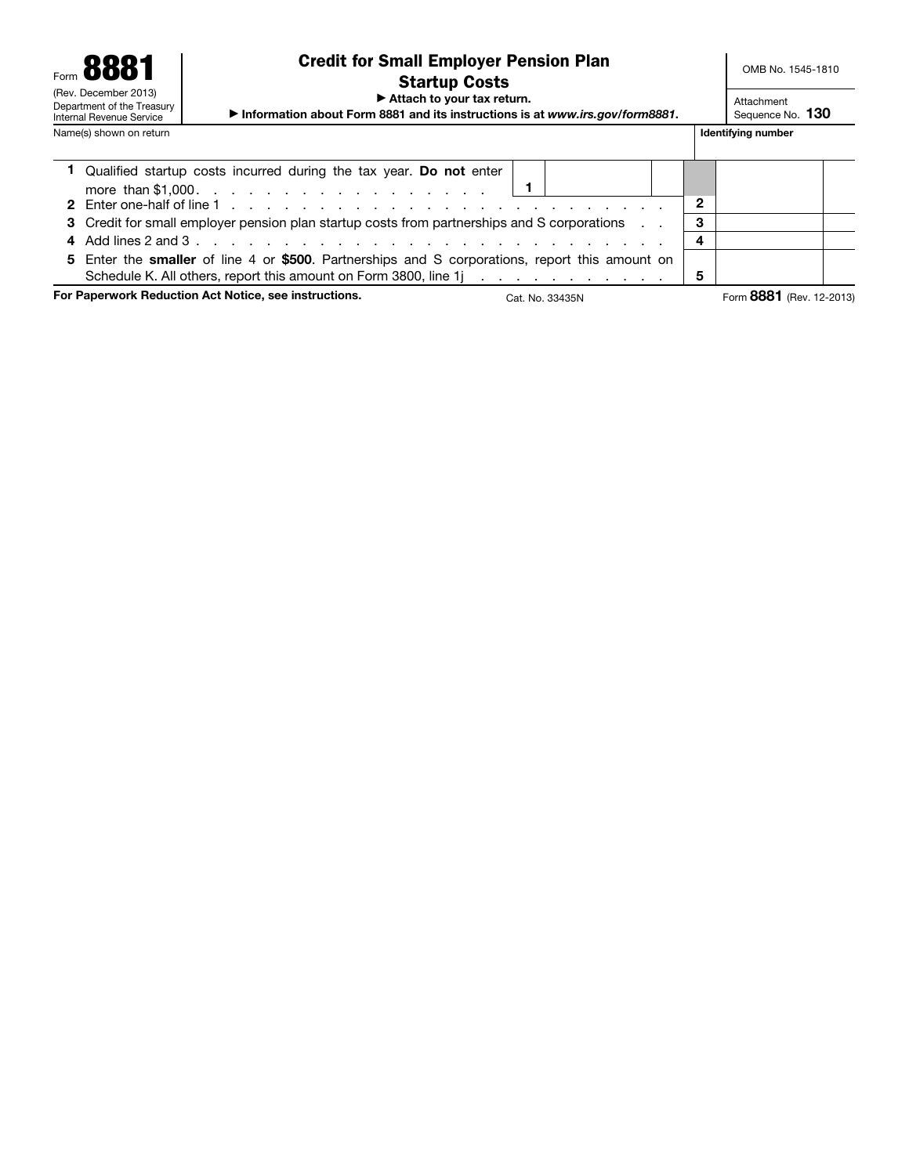| Form 8881<br>(Rev. December 2013)<br>Department of the Treasury<br>Internal Revenue Service | OMB No. 1545-1810<br>Attachment<br>Sequence No. 130                                      |                    |  |
|---------------------------------------------------------------------------------------------|------------------------------------------------------------------------------------------|--------------------|--|
| Name(s) shown on return                                                                     |                                                                                          | Identifying number |  |
|                                                                                             | Qualified startup costs incurred during the tax year. Do not enter<br>more than \$1,000. |                    |  |

|--|

- 3 Credit for small employer pension plan startup costs from partnerships and S corporations . . 3
- 4 Add lines 2 and 3 . . . . . . . . . . . . . . . . . . . . . . . . . . . 4 5 Enter the smaller of line 4 or \$500. Partnerships and S corporations, report this amount on
- Schedule K. All others, report this amount on Form 3800, line  $1j \ldots \ldots \ldots \ldots$

For Paperwork Reduction Act Notice, see instructions. Cat. No. 33435N Form 8881 (Rev. 12-2013)